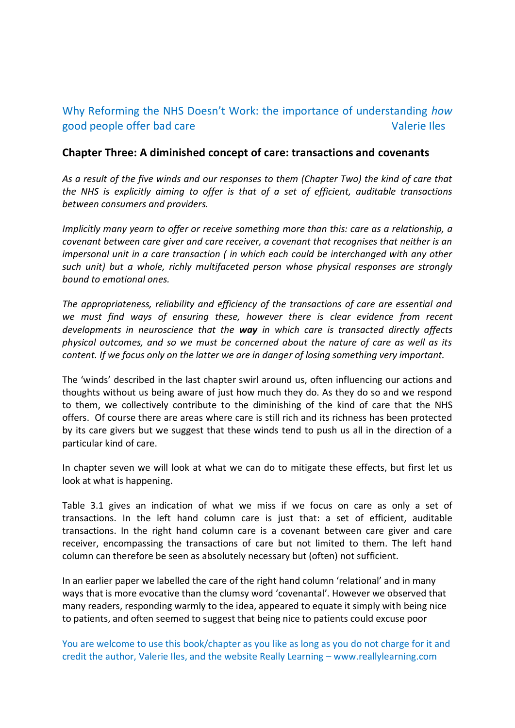## Why Reforming the NHS Doesn't Work: the importance of understanding *how* good people offer bad care values and values of valerie Iles

## **Chapter Three: A diminished concept of care: transactions and covenants**

*As a result of the five winds and our responses to them (Chapter Two) the kind of care that the NHS is explicitly aiming to offer is that of a set of efficient, auditable transactions between consumers and providers.*

*Implicitly many yearn to offer or receive something more than this: care as a relationship, a covenant between care giver and care receiver, a covenant that recognises that neither is an impersonal unit in a care transaction ( in which each could be interchanged with any other such unit) but a whole, richly multifaceted person whose physical responses are strongly bound to emotional ones.* 

*The appropriateness, reliability and efficiency of the transactions of care are essential and we must find ways of ensuring these, however there is clear evidence from recent developments in neuroscience that the way in which care is transacted directly affects physical outcomes, and so we must be concerned about the nature of care as well as its content. If we focus only on the latter we are in danger of losing something very important.* 

The 'winds' described in the last chapter swirl around us, often influencing our actions and thoughts without us being aware of just how much they do. As they do so and we respond to them, we collectively contribute to the diminishing of the kind of care that the NHS offers. Of course there are areas where care is still rich and its richness has been protected by its care givers but we suggest that these winds tend to push us all in the direction of a particular kind of care.

In chapter seven we will look at what we can do to mitigate these effects, but first let us look at what is happening.

Table 3.1 gives an indication of what we miss if we focus on care as only a set of transactions. In the left hand column care is just that: a set of efficient, auditable transactions. In the right hand column care is a covenant between care giver and care receiver, encompassing the transactions of care but not limited to them. The left hand column can therefore be seen as absolutely necessary but (often) not sufficient.

In an earlier paper we labelled the care of the right hand column 'relational' and in many ways that is more evocative than the clumsy word 'covenantal'. However we observed that many readers, responding warmly to the idea, appeared to equate it simply with being nice to patients, and often seemed to suggest that being nice to patients could excuse poor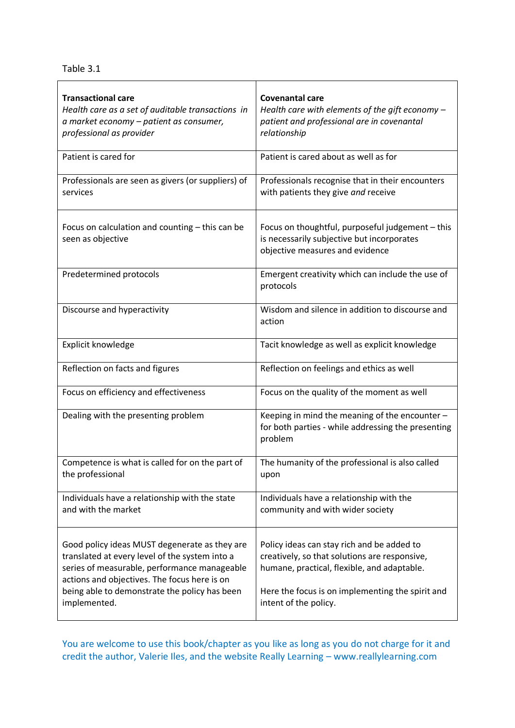| Table 3.1 |  |  |
|-----------|--|--|
|           |  |  |

| <b>Transactional care</b><br>Health care as a set of auditable transactions in<br>a market economy - patient as consumer,<br>professional as provider                                                                                                            | <b>Covenantal care</b><br>Health care with elements of the gift economy $-$<br>patient and professional are in covenantal<br>relationship                                                                               |  |  |
|------------------------------------------------------------------------------------------------------------------------------------------------------------------------------------------------------------------------------------------------------------------|-------------------------------------------------------------------------------------------------------------------------------------------------------------------------------------------------------------------------|--|--|
| Patient is cared for                                                                                                                                                                                                                                             | Patient is cared about as well as for                                                                                                                                                                                   |  |  |
| Professionals are seen as givers (or suppliers) of<br>services                                                                                                                                                                                                   | Professionals recognise that in their encounters<br>with patients they give and receive                                                                                                                                 |  |  |
| Focus on calculation and counting - this can be<br>seen as objective                                                                                                                                                                                             | Focus on thoughtful, purposeful judgement - this<br>is necessarily subjective but incorporates<br>objective measures and evidence                                                                                       |  |  |
| Predetermined protocols                                                                                                                                                                                                                                          | Emergent creativity which can include the use of<br>protocols                                                                                                                                                           |  |  |
| Discourse and hyperactivity                                                                                                                                                                                                                                      | Wisdom and silence in addition to discourse and<br>action                                                                                                                                                               |  |  |
| Explicit knowledge                                                                                                                                                                                                                                               | Tacit knowledge as well as explicit knowledge                                                                                                                                                                           |  |  |
| Reflection on facts and figures                                                                                                                                                                                                                                  | Reflection on feelings and ethics as well                                                                                                                                                                               |  |  |
| Focus on efficiency and effectiveness                                                                                                                                                                                                                            | Focus on the quality of the moment as well                                                                                                                                                                              |  |  |
| Dealing with the presenting problem                                                                                                                                                                                                                              | Keeping in mind the meaning of the encounter -<br>for both parties - while addressing the presenting<br>problem                                                                                                         |  |  |
| Competence is what is called for on the part of<br>the professional                                                                                                                                                                                              | The humanity of the professional is also called<br>upon                                                                                                                                                                 |  |  |
| Individuals have a relationship with the state<br>and with the market                                                                                                                                                                                            | Individuals have a relationship with the<br>community and with wider society                                                                                                                                            |  |  |
| Good policy ideas MUST degenerate as they are<br>translated at every level of the system into a<br>series of measurable, performance manageable<br>actions and objectives. The focus here is on<br>being able to demonstrate the policy has been<br>implemented. | Policy ideas can stay rich and be added to<br>creatively, so that solutions are responsive,<br>humane, practical, flexible, and adaptable.<br>Here the focus is on implementing the spirit and<br>intent of the policy. |  |  |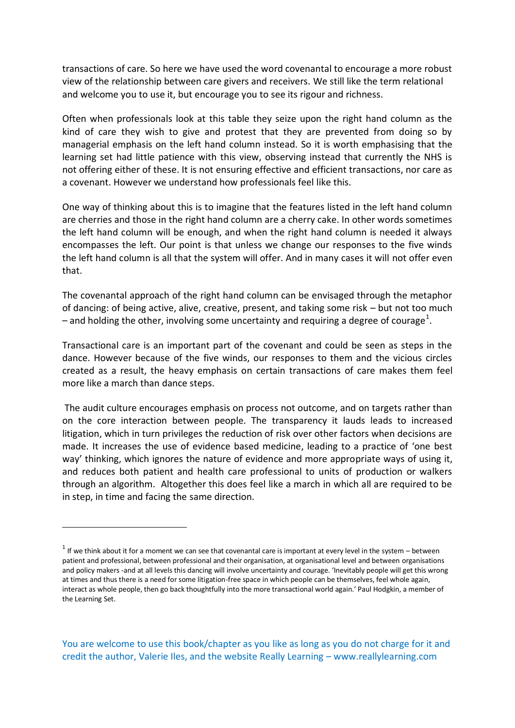transactions of care. So here we have used the word covenantal to encourage a more robust view of the relationship between care givers and receivers. We still like the term relational and welcome you to use it, but encourage you to see its rigour and richness.

Often when professionals look at this table they seize upon the right hand column as the kind of care they wish to give and protest that they are prevented from doing so by managerial emphasis on the left hand column instead. So it is worth emphasising that the learning set had little patience with this view, observing instead that currently the NHS is not offering either of these. It is not ensuring effective and efficient transactions, nor care as a covenant. However we understand how professionals feel like this.

One way of thinking about this is to imagine that the features listed in the left hand column are cherries and those in the right hand column are a cherry cake. In other words sometimes the left hand column will be enough, and when the right hand column is needed it always encompasses the left. Our point is that unless we change our responses to the five winds the left hand column is all that the system will offer. And in many cases it will not offer even that.

The covenantal approach of the right hand column can be envisaged through the metaphor of dancing: of being active, alive, creative, present, and taking some risk – but not too much – and holding the other, involving some uncertainty and requiring a degree of courage<sup>1</sup>.

Transactional care is an important part of the covenant and could be seen as steps in the dance. However because of the five winds, our responses to them and the vicious circles created as a result, the heavy emphasis on certain transactions of care makes them feel more like a march than dance steps.

The audit culture encourages emphasis on process not outcome, and on targets rather than on the core interaction between people. The transparency it lauds leads to increased litigation, which in turn privileges the reduction of risk over other factors when decisions are made. It increases the use of evidence based medicine, leading to a practice of 'one best way' thinking, which ignores the nature of evidence and more appropriate ways of using it, and reduces both patient and health care professional to units of production or walkers through an algorithm. Altogether this does feel like a march in which all are required to be in step, in time and facing the same direction.

-

 $1$  If we think about it for a moment we can see that covenantal care is important at every level in the system – between patient and professional, between professional and their organisation, at organisational level and between organisations and policy makers -and at all levels this dancing will involve uncertainty and courage. 'Inevitably people will get this wrong at times and thus there is a need for some litigation-free space in which people can be themselves, feel whole again, interact as whole people, then go back thoughtfully into the more transactional world again.' Paul Hodgkin, a member of the Learning Set.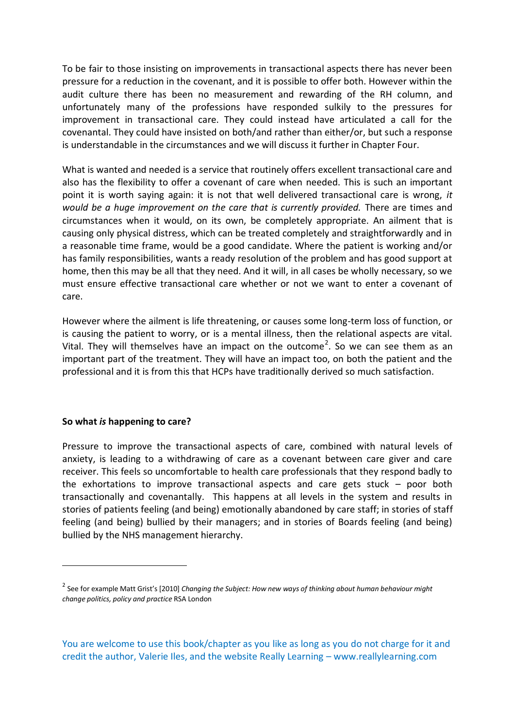To be fair to those insisting on improvements in transactional aspects there has never been pressure for a reduction in the covenant, and it is possible to offer both. However within the audit culture there has been no measurement and rewarding of the RH column, and unfortunately many of the professions have responded sulkily to the pressures for improvement in transactional care. They could instead have articulated a call for the covenantal. They could have insisted on both/and rather than either/or, but such a response is understandable in the circumstances and we will discuss it further in Chapter Four.

What is wanted and needed is a service that routinely offers excellent transactional care and also has the flexibility to offer a covenant of care when needed. This is such an important point it is worth saying again: it is not that well delivered transactional care is wrong, *it would be a huge improvement on the care that is currently provided.* There are times and circumstances when it would, on its own, be completely appropriate. An ailment that is causing only physical distress, which can be treated completely and straightforwardly and in a reasonable time frame, would be a good candidate. Where the patient is working and/or has family responsibilities, wants a ready resolution of the problem and has good support at home, then this may be all that they need. And it will, in all cases be wholly necessary, so we must ensure effective transactional care whether or not we want to enter a covenant of care.

However where the ailment is life threatening, or causes some long-term loss of function, or is causing the patient to worry, or is a mental illness, then the relational aspects are vital. Vital. They will themselves have an impact on the outcome<sup>2</sup>. So we can see them as an important part of the treatment. They will have an impact too, on both the patient and the professional and it is from this that HCPs have traditionally derived so much satisfaction.

## **So what** *is* **happening to care?**

<u>.</u>

Pressure to improve the transactional aspects of care, combined with natural levels of anxiety, is leading to a withdrawing of care as a covenant between care giver and care receiver. This feels so uncomfortable to health care professionals that they respond badly to the exhortations to improve transactional aspects and care gets stuck – poor both transactionally and covenantally. This happens at all levels in the system and results in stories of patients feeling (and being) emotionally abandoned by care staff; in stories of staff feeling (and being) bullied by their managers; and in stories of Boards feeling (and being) bullied by the NHS management hierarchy.

<sup>2</sup> See for example Matt Grist's [2010] *Changing the Subject: How new ways of thinking about human behaviour might change politics, policy and practice* RSA London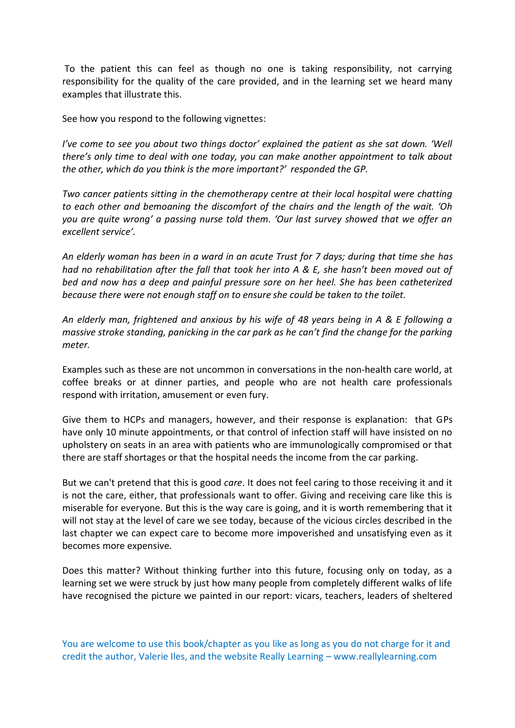To the patient this can feel as though no one is taking responsibility, not carrying responsibility for the quality of the care provided, and in the learning set we heard many examples that illustrate this.

See how you respond to the following vignettes:

*I've come to see you about two things doctor' explained the patient as she sat down. 'Well there's only time to deal with one today, you can make another appointment to talk about the other, which do you think is the more important?' responded the GP.* 

*Two cancer patients sitting in the chemotherapy centre at their local hospital were chatting to each other and bemoaning the discomfort of the chairs and the length of the wait. 'Oh you are quite wrong' a passing nurse told them. 'Our last survey showed that we offer an excellent service'.*

*An elderly woman has been in a ward in an acute Trust for 7 days; during that time she has had no rehabilitation after the fall that took her into A & E, she hasn't been moved out of bed and now has a deep and painful pressure sore on her heel. She has been catheterized because there were not enough staff on to ensure she could be taken to the toilet.*

*An elderly man, frightened and anxious by his wife of 48 years being in A & E following a massive stroke standing, panicking in the car park as he can't find the change for the parking meter.*

Examples such as these are not uncommon in conversations in the non-health care world, at coffee breaks or at dinner parties, and people who are not health care professionals respond with irritation, amusement or even fury.

Give them to HCPs and managers, however, and their response is explanation: that GPs have only 10 minute appointments, or that control of infection staff will have insisted on no upholstery on seats in an area with patients who are immunologically compromised or that there are staff shortages or that the hospital needs the income from the car parking.

But we can't pretend that this is good *care*. It does not feel caring to those receiving it and it is not the care, either, that professionals want to offer. Giving and receiving care like this is miserable for everyone. But this is the way care is going, and it is worth remembering that it will not stay at the level of care we see today, because of the vicious circles described in the last chapter we can expect care to become more impoverished and unsatisfying even as it becomes more expensive.

Does this matter? Without thinking further into this future, focusing only on today, as a learning set we were struck by just how many people from completely different walks of life have recognised the picture we painted in our report: vicars, teachers, leaders of sheltered